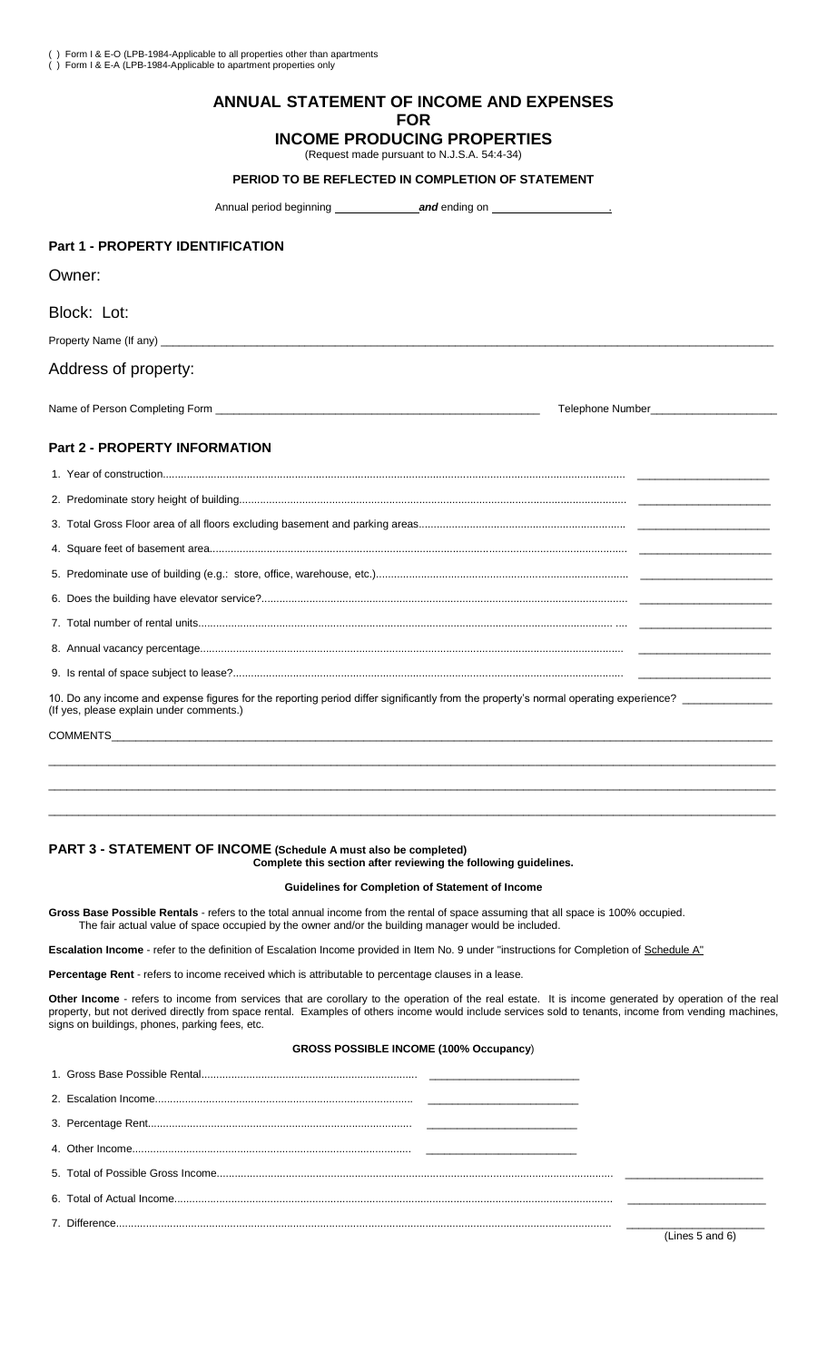# **ANNUAL STATEMENT OF INCOME AND EXPENSES FOR**

# **INCOME PRODUCING PROPERTIES**

(Request made pursuant to N.J.S.A. 54:4-34)

#### **PERIOD TO BE REFLECTED IN COMPLETION OF STATEMENT**

Annual period beginning **and** ending on

## **Part 1 - PROPERTY IDENTIFICATION**

Owner:

Block: Lot:

Property Name (If any) \_

#### Address of property:

Name of Person Completing Form **Definition** Completing Form **Definition** Completion Completing Form **Definition** Completion Completing Form **Definition** Completion Completing Form **Definition** Completion Completion Complet

#### **Part 2 - PROPERTY INFORMATION**

| 10. Do any income and expense figures for the reporting period differ significantly from the property's normal operating experience?<br>(If yes, please explain under comments.) |  |  |  |  |
|----------------------------------------------------------------------------------------------------------------------------------------------------------------------------------|--|--|--|--|
|                                                                                                                                                                                  |  |  |  |  |
|                                                                                                                                                                                  |  |  |  |  |

#### **PART 3 - STATEMENT OF INCOME (Schedule A must also be completed) Complete this section after reviewing the following guidelines.**

#### **Guidelines for Completion of Statement of Income**

\_\_\_\_\_\_\_\_\_\_\_\_\_\_\_\_\_\_\_\_\_\_\_\_\_\_\_\_\_\_\_\_\_\_\_\_\_\_\_\_\_\_\_\_\_\_\_\_\_\_\_\_\_\_\_\_\_\_\_\_\_\_\_\_\_\_\_\_\_\_\_\_\_\_\_\_\_\_\_\_\_\_\_\_\_\_\_\_\_\_\_\_\_\_\_\_\_\_\_\_\_\_\_\_\_\_\_\_\_\_\_\_\_\_\_\_\_\_\_\_\_ \_\_\_\_\_\_\_\_\_\_\_\_\_\_\_\_\_\_\_\_\_\_\_\_\_\_\_\_\_\_\_\_\_\_\_\_\_\_\_\_\_\_\_\_\_\_\_\_\_\_\_\_\_\_\_\_\_\_\_\_\_\_\_\_\_\_\_\_\_\_\_\_\_\_\_\_\_\_\_\_\_\_\_\_\_\_\_\_\_\_\_\_\_\_\_\_\_\_\_\_\_\_\_\_\_\_\_\_\_\_\_\_\_\_\_\_\_\_\_\_\_

**Gross Base Possible Rentals** - refers to the total annual income from the rental of space assuming that all space is 100% occupied. The fair actual value of space occupied by the owner and/or the building manager would be included.

**Escalation Income** - refer to the definition of Escalation Income provided in Item No. 9 under "instructions for Completion of Schedule A"

**Percentage Rent** - refers to income received which is attributable to percentage clauses in a lease.

**Other Income** - refers to income from services that are corollary to the operation of the real estate. It is income generated by operation of the real property, but not derived directly from space rental. Examples of others income would include services sold to tenants, income from vending machines, signs on buildings, phones, parking fees, etc.

# **GROSS POSSIBLE INCOME (100% Occupancy**)

|  | (Lines 5 and 6) |
|--|-----------------|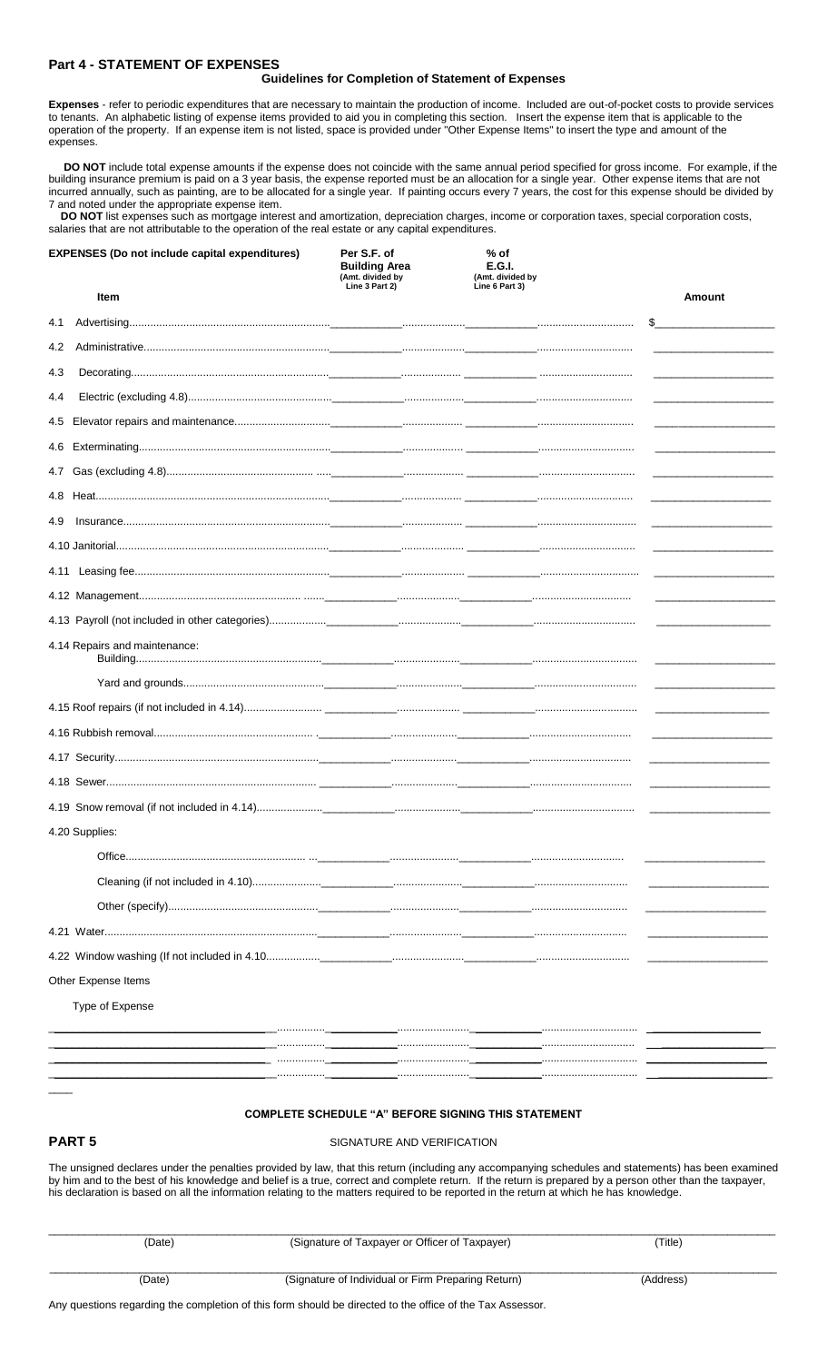# **Part 4 - STATEMENT OF EXPENSES**

#### **Guidelines for Completion of Statement of Expenses**

**Expenses** - refer to periodic expenditures that are necessary to maintain the production of income. Included are out-of-pocket costs to provide services to tenants. An alphabetic listing of expense items provided to aid you in completing this section. Insert the expense item that is applicable to the operation of the property. If an expense item is not listed, space is provided under "Other Expense Items" to insert the type and amount of the expenses.

 **DO NOT** include total expense amounts if the expense does not coincide with the same annual period specified for gross income. For example, if the building insurance premium is paid on a 3 year basis, the expense reported must be an allocation for a single year. Other expense items that are not incurred annually, such as painting, are to be allocated for a single year. If painting occurs every 7 years, the cost for this expense should be divided by 7 and noted under the appropriate expense item.

 **DO NOT** list expenses such as mortgage interest and amortization, depreciation charges, income or corporation taxes, special corporation costs, salaries that are not attributable to the operation of the real estate or any capital expenditures.

| <b>EXPENSES (Do not include capital expenditures)</b> | Per S.F. of<br><b>Building Area</b><br>(Amt. divided by<br>Line 3 Part 2) | % of<br><b>E.G.I.</b><br>(Amt. divided by<br>Line 6 Part 3) |               |
|-------------------------------------------------------|---------------------------------------------------------------------------|-------------------------------------------------------------|---------------|
| Item                                                  |                                                                           |                                                             | Amount        |
| 4.1                                                   |                                                                           |                                                             | $\frac{1}{2}$ |
| 4.2                                                   |                                                                           |                                                             |               |
| 4.3                                                   |                                                                           |                                                             |               |
| 4.4                                                   |                                                                           |                                                             |               |
| 4.5                                                   |                                                                           |                                                             |               |
| 4.6                                                   |                                                                           |                                                             |               |
| 4.7                                                   |                                                                           |                                                             |               |
| 4.8                                                   |                                                                           |                                                             |               |
| 4.9                                                   |                                                                           |                                                             |               |
|                                                       |                                                                           |                                                             |               |
| 4.11                                                  |                                                                           |                                                             |               |
|                                                       |                                                                           |                                                             |               |
|                                                       |                                                                           |                                                             |               |
| 4.14 Repairs and maintenance:                         |                                                                           |                                                             |               |
|                                                       |                                                                           |                                                             |               |
|                                                       |                                                                           |                                                             |               |
|                                                       |                                                                           |                                                             |               |
|                                                       |                                                                           |                                                             |               |
|                                                       |                                                                           |                                                             |               |
|                                                       |                                                                           |                                                             |               |
| 4.20 Supplies:                                        |                                                                           |                                                             |               |
| Office                                                |                                                                           |                                                             |               |
|                                                       |                                                                           |                                                             |               |
|                                                       |                                                                           |                                                             |               |
|                                                       |                                                                           |                                                             |               |
|                                                       |                                                                           |                                                             |               |
| Other Expense Items                                   |                                                                           |                                                             |               |
| Type of Expense                                       |                                                                           |                                                             |               |
|                                                       | .                                                                         |                                                             |               |
|                                                       |                                                                           |                                                             |               |
|                                                       |                                                                           |                                                             |               |

#### **COMPLETE SCHEDULE "A" BEFORE SIGNING THIS STATEMENT**

 $\overline{\phantom{a}}$ 

**PART 5** SIGNATURE AND VERIFICATION

The unsigned declares under the penalties provided by law, that this return (including any accompanying schedules and statements) has been examined by him and to the best of his knowledge and belief is a true, correct and complete return. If the return is prepared by a person other than the taxpayer, his declaration is based on all the information relating to the matters required to be reported in the return at which he has knowledge.

| (Date) | (Signature of Taxpayer or Officer of Taxpayer)     | (Title)   |
|--------|----------------------------------------------------|-----------|
| (Date) | (Signature of Individual or Firm Preparing Return) | (Address) |

Any questions regarding the completion of this form should be directed to the office of the Tax Assessor.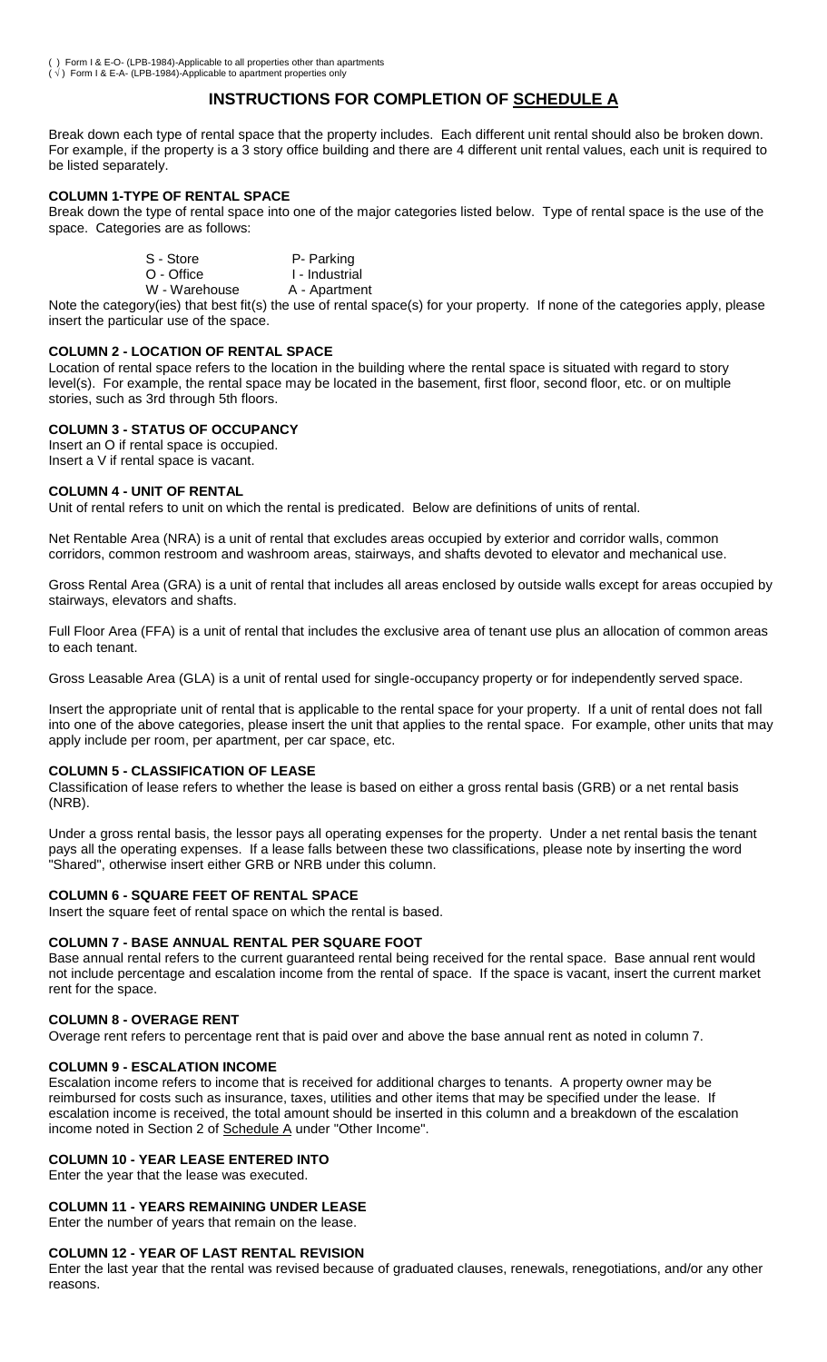( ) Form I & E-O- (LPB-1984)-Applicable to all properties other than apartments ( $\sqrt{ }$ ) Form I & E-A- (LPB-1984)-Applicable to apartment properties only

# **INSTRUCTIONS FOR COMPLETION OF SCHEDULE A**

Break down each type of rental space that the property includes. Each different unit rental should also be broken down. For example, if the property is a 3 story office building and there are 4 different unit rental values, each unit is required to be listed separately.

# **COLUMN 1-TYPE OF RENTAL SPACE**

Break down the type of rental space into one of the major categories listed below. Type of rental space is the use of the space. Categories are as follows:

| S - Store  | P- Parking     |  |  |  |
|------------|----------------|--|--|--|
| O - Office | I - Industrial |  |  |  |
|            |                |  |  |  |

W - Warehouse A - Apartment

Note the category(ies) that best fit(s) the use of rental space(s) for your property. If none of the categories apply, please insert the particular use of the space.

# **COLUMN 2 - LOCATION OF RENTAL SPACE**

Location of rental space refers to the location in the building where the rental space is situated with regard to story level(s). For example, the rental space may be located in the basement, first floor, second floor, etc. or on multiple stories, such as 3rd through 5th floors.

# **COLUMN 3 - STATUS OF OCCUPANCY**

Insert an O if rental space is occupied. Insert a V if rental space is vacant.

### **COLUMN 4 - UNIT OF RENTAL**

Unit of rental refers to unit on which the rental is predicated. Below are definitions of units of rental.

Net Rentable Area (NRA) is a unit of rental that excludes areas occupied by exterior and corridor walls, common corridors, common restroom and washroom areas, stairways, and shafts devoted to elevator and mechanical use.

Gross Rental Area (GRA) is a unit of rental that includes all areas enclosed by outside walls except for areas occupied by stairways, elevators and shafts.

Full Floor Area (FFA) is a unit of rental that includes the exclusive area of tenant use plus an allocation of common areas to each tenant.

Gross Leasable Area (GLA) is a unit of rental used for single-occupancy property or for independently served space.

Insert the appropriate unit of rental that is applicable to the rental space for your property. If a unit of rental does not fall into one of the above categories, please insert the unit that applies to the rental space. For example, other units that may apply include per room, per apartment, per car space, etc.

# **COLUMN 5 - CLASSIFICATION OF LEASE**

Classification of lease refers to whether the lease is based on either a gross rental basis (GRB) or a net rental basis (NRB).

Under a gross rental basis, the lessor pays all operating expenses for the property. Under a net rental basis the tenant pays all the operating expenses. If a lease falls between these two classifications, please note by inserting the word "Shared", otherwise insert either GRB or NRB under this column.

## **COLUMN 6 - SQUARE FEET OF RENTAL SPACE**

Insert the square feet of rental space on which the rental is based.

### **COLUMN 7 - BASE ANNUAL RENTAL PER SQUARE FOOT**

Base annual rental refers to the current guaranteed rental being received for the rental space. Base annual rent would not include percentage and escalation income from the rental of space. If the space is vacant, insert the current market rent for the space.

### **COLUMN 8 - OVERAGE RENT**

Overage rent refers to percentage rent that is paid over and above the base annual rent as noted in column 7.

### **COLUMN 9 - ESCALATION INCOME**

Escalation income refers to income that is received for additional charges to tenants. A property owner may be reimbursed for costs such as insurance, taxes, utilities and other items that may be specified under the lease. If escalation income is received, the total amount should be inserted in this column and a breakdown of the escalation income noted in Section 2 of Schedule A under "Other Income".

# **COLUMN 10 - YEAR LEASE ENTERED INTO**

Enter the year that the lease was executed.

# **COLUMN 11 - YEARS REMAINING UNDER LEASE**

Enter the number of years that remain on the lease.

### **COLUMN 12 - YEAR OF LAST RENTAL REVISION**

Enter the last year that the rental was revised because of graduated clauses, renewals, renegotiations, and/or any other reasons.